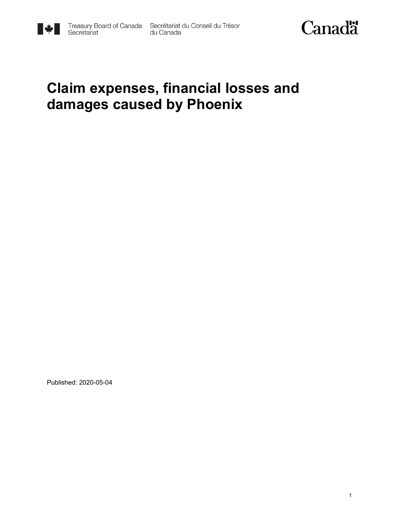



### **Claim expenses, financial losses and damages caused by Phoenix**

Published: 2020-05-04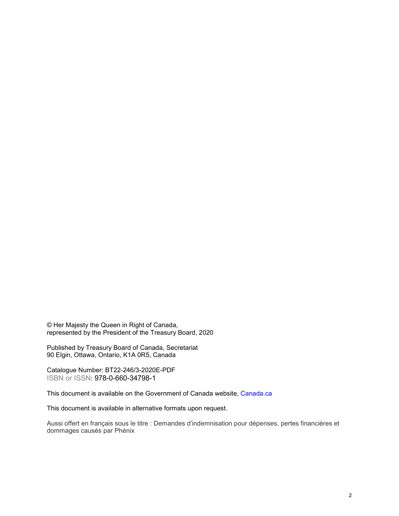© Her Majesty the Queen in Right of Canada, represented by the President of the Treasury Board, 2020

Published by Treasury Board of Canada, Secretariat 90 Elgin, Ottawa, Ontario, K1A 0R5, Canada

Catalogue Number: BT22-246/3-2020E-PDF ISBN or ISSN: 978-0-660-34798-1

This document is available on the Government of Canada website, [Canada.](https://www.canada.ca/en.html)ca

This document is available in alternative formats upon request.

Aussi offert en français sous le titre : Demandes d'indemnisation pour dépenses, pertes financières et dommages causés par Phénix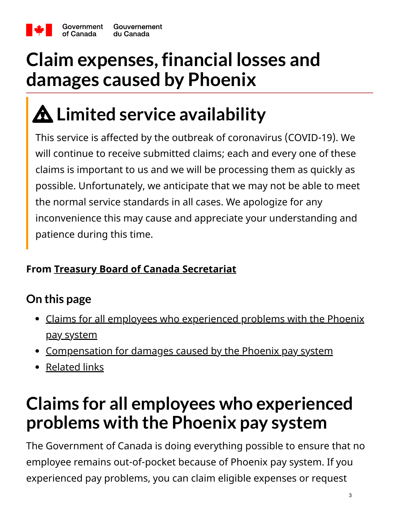

# **Claim expenses, financial losses and damages caused by Phoenix**

# **Limited service availability**

This service is affected by the outbreak of coronavirus (COVID-19). We will continue to receive submitted claims; each and every one of these claims is important to us and we will be processing them as quickly as possible. Unfortunately, we anticipate that we may not be able to meet the normal service standards in all cases. We apologize for any inconvenience this may cause and appreciate your understanding and patience during this time.

### **From [Treasury Board of Canada Secretariat](https://canada-preview.adobecqms.net/en/treasury-board-secretariat.html)**

### **On this page**

- [Claims for all employees who experienced problems with the Phoenix](#page-2-0) pay system
- [Compensation for damages caused by the Phoenix pay system](#page-3-0)
- [Related links](#page-6-0)

### <span id="page-2-0"></span>**Claims for all employees who experienced problems with the Phoenix pay system**

The Government of Canada is doing everything possible to ensure that no employee remains out-of-pocket because of Phoenix pay system. If you experienced pay problems, you can claim eligible expenses or request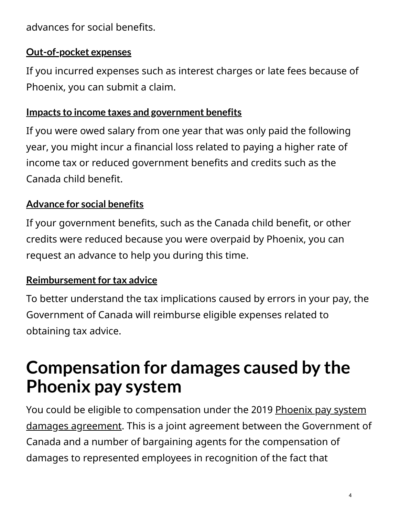advances for social benefits.

#### **[Out-of-pocket expenses](https://canada-preview.adobecqms.net/en/treasury-board-secretariat/services/pay/submit-claim-pocket-expenses-phoenix.html)**

If you incurred expenses such as interest charges or late fees because of Phoenix, you can submit a claim.

#### **[Impacts to income taxes and government benefits](https://canada-preview.adobecqms.net/en/treasury-board-secretariat/services/pay/submit-impacts-income-taxes-government-benefits-credits.html)**

If you were owed salary from one year that was only paid the following year, you might incur a financial loss related to paying a higher rate of income tax or reduced government benefits and credits such as the Canada child benefit.

### **[Advance for social benefits](https://canada-preview.adobecqms.net/en/treasury-board-secretariat/services/pay/submit-request-recoverable-advance-social-benefits.html)**

If your government benefits, such as the Canada child benefit, or other credits were reduced because you were overpaid by Phoenix, you can request an advance to help you during this time.

### **[Reimbursement for tax advice](https://canada-preview.adobecqms.net/en/treasury-board-secretariat/services/pay/submit-claim-fees-tax-advisory-services.html)**

To better understand the tax implications caused by errors in your pay, the Government of Canada will reimburse eligible expenses related to obtaining tax advice.

### <span id="page-3-0"></span>**Compensation for damages caused by the Phoenix pay system**

[You could be eligible to compensation under the 2019 Phoenix pay system](https://canada-preview.adobecqms.net/en/treasury-board-secretariat/topics/pay/phoenix-pay-system/damages-caused-phoenix-pay-system.html) damages agreement. This is a joint agreement between the Government of Canada and a number of bargaining agents for the compensation of damages to represented employees in recognition of the fact that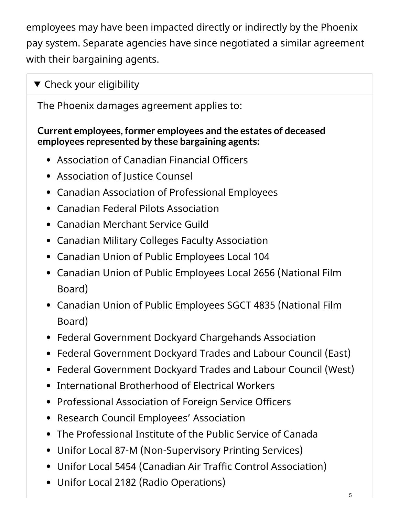employees may have been impacted directly or indirectly by the Phoenix pay system. Separate agencies have since negotiated a similar agreement with their bargaining agents.

### $\blacktriangledown$  Check your eligibility

The Phoenix damages agreement applies to:

#### **Current employees, former employees and the estates of deceased employees represented by these bargaining agents:**

- Association of Canadian Financial Officers
- Association of Justice Counsel
- Canadian Association of Professional Employees
- Canadian Federal Pilots Association
- Canadian Merchant Service Guild
- Canadian Military Colleges Faculty Association
- Canadian Union of Public Employees Local 104
- Canadian Union of Public Employees Local 2656 (National Film Board)
- Canadian Union of Public Employees SGCT 4835 (National Film Board)
- Federal Government Dockyard Chargehands Association
- Federal Government Dockyard Trades and Labour Council (East)
- Federal Government Dockyard Trades and Labour Council (West)
- **•** International Brotherhood of Electrical Workers
- Professional Association of Foreign Service Officers
- Research Council Employees' Association
- The Professional Institute of the Public Service of Canada
- Unifor Local 87-M (Non-Supervisory Printing Services)
- Unifor Local 5454 (Canadian Air Traffic Control Association)
- Unifor Local 2182 (Radio Operations)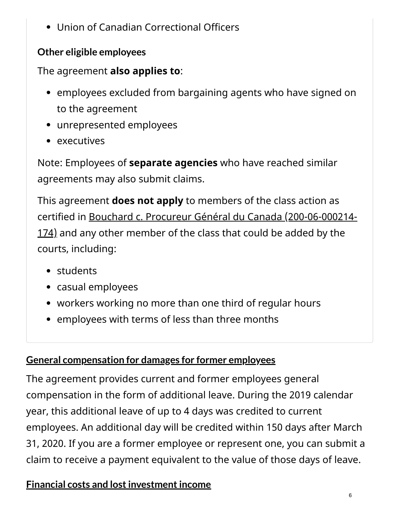Union of Canadian Correctional Officers

### **Other eligible employees**

### The agreement **also applies to**:

- employees excluded from bargaining agents who have signed on to the agreement
- unrepresented employees
- executives

Note: Employees of **separate agencies** who have reached similar agreements may also submit claims.

This agreement **does not apply** to members of the class action as [certified in Bouchard c. Procureur Général du Canada \(200-06-000214-](https://www.registredesactionscollectives.quebec/en/Consulter/ApercuDemande?NoDossier=200-06-000214-174) 174) and any other member of the class that could be added by the courts, including:

- students
- casual employees
- workers working no more than one third of regular hours
- employees with terms of less than three months

#### **[General compensation for damages for former employees](https://canada-preview.adobecqms.net/en/treasury-board-secretariat/topics/pay/phoenix-pay-system/phoenix/claim-damages-caused-phoenix-payment-equivalent-leave.html)**

The agreement provides current and former employees general compensation in the form of additional leave. During the 2019 calendar year, this additional leave of up to 4 days was credited to current employees. An additional day will be credited within 150 days after March 31, 2020. If you are a former employee or represent one, you can submit a claim to receive a payment equivalent to the value of those days of leave.

### **[Financial costs and lost investment income](https://canada-preview.adobecqms.net/en/treasury-board-secretariat/topics/pay/phoenix-pay-system/phoenix/financial-costs-lost-investment-income.html)**